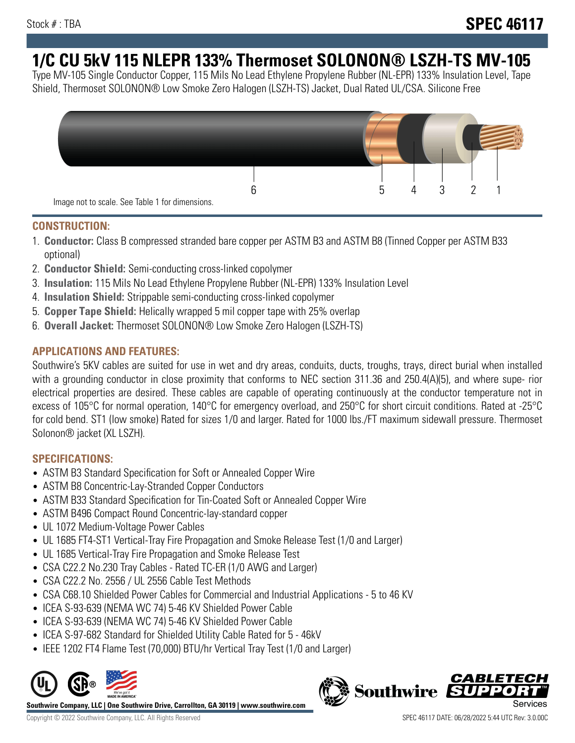# **1/C CU 5kV 115 NLEPR 133% Thermoset SOLONON® LSZH-TS MV-105**

Type MV-105 Single Conductor Copper, 115 Mils No Lead Ethylene Propylene Rubber (NL-EPR) 133% Insulation Level, Tape Shield, Thermoset SOLONON® Low Smoke Zero Halogen (LSZH-TS) Jacket, Dual Rated UL/CSA. Silicone Free



#### **CONSTRUCTION:**

- 1. **Conductor:** Class B compressed stranded bare copper per ASTM B3 and ASTM B8 (Tinned Copper per ASTM B33 optional)
- 2. **Conductor Shield:** Semi-conducting cross-linked copolymer
- 3. **Insulation:** 115 Mils No Lead Ethylene Propylene Rubber (NL-EPR) 133% Insulation Level
- 4. **Insulation Shield:** Strippable semi-conducting cross-linked copolymer
- 5. **Copper Tape Shield:** Helically wrapped 5 mil copper tape with 25% overlap
- 6. **Overall Jacket:** Thermoset SOLONON® Low Smoke Zero Halogen (LSZH-TS)

# **APPLICATIONS AND FEATURES:**

Southwire's 5KV cables are suited for use in wet and dry areas, conduits, ducts, troughs, trays, direct burial when installed with a grounding conductor in close proximity that conforms to NEC section 311.36 and 250.4(A)(5), and where supe- rior electrical properties are desired. These cables are capable of operating continuously at the conductor temperature not in excess of 105°C for normal operation, 140°C for emergency overload, and 250°C for short circuit conditions. Rated at -25°C for cold bend. ST1 (low smoke) Rated for sizes 1/0 and larger. Rated for 1000 lbs./FT maximum sidewall pressure. Thermoset Solonon® jacket (XL LSZH).

# **SPECIFICATIONS:**

- ASTM B3 Standard Specification for Soft or Annealed Copper Wire
- ASTM B8 Concentric-Lay-Stranded Copper Conductors
- ASTM B33 Standard Specification for Tin-Coated Soft or Annealed Copper Wire
- ASTM B496 Compact Round Concentric-lay-standard copper
- UL 1072 Medium-Voltage Power Cables
- UL 1685 FT4-ST1 Vertical-Tray Fire Propagation and Smoke Release Test (1/0 and Larger)
- UL 1685 Vertical-Tray Fire Propagation and Smoke Release Test
- CSA C22.2 No.230 Tray Cables Rated TC-ER (1/0 AWG and Larger)
- CSA C22.2 No. 2556 / UL 2556 Cable Test Methods
- CSA C68.10 Shielded Power Cables for Commercial and Industrial Applications 5 to 46 KV
- ICEA S-93-639 (NEMA WC 74) 5-46 KV Shielded Power Cable
- ICEA S-93-639 (NEMA WC 74) 5-46 KV Shielded Power Cable
- ICEA S-97-682 Standard for Shielded Utility Cable Rated for 5 46kV
- IEEE 1202 FT4 Flame Test (70,000) BTU/hr Vertical Tray Test (1/0 and Larger)



**Southwire Company, LLC | One Southwire Drive, Carrollton, GA 30119 | www.southwire.com**